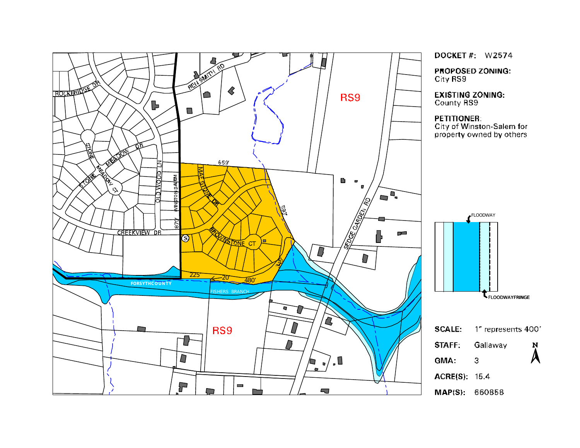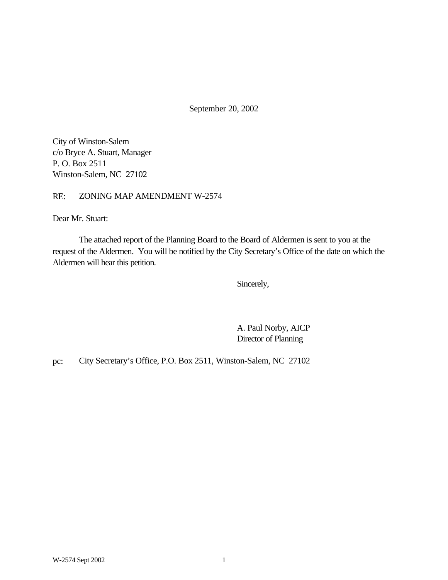September 20, 2002

City of Winston-Salem c/o Bryce A. Stuart, Manager P. O. Box 2511 Winston-Salem, NC 27102

RE: ZONING MAP AMENDMENT W-2574

Dear Mr. Stuart:

The attached report of the Planning Board to the Board of Aldermen is sent to you at the request of the Aldermen. You will be notified by the City Secretary's Office of the date on which the Aldermen will hear this petition.

Sincerely,

A. Paul Norby, AICP Director of Planning

pc: City Secretary's Office, P.O. Box 2511, Winston-Salem, NC 27102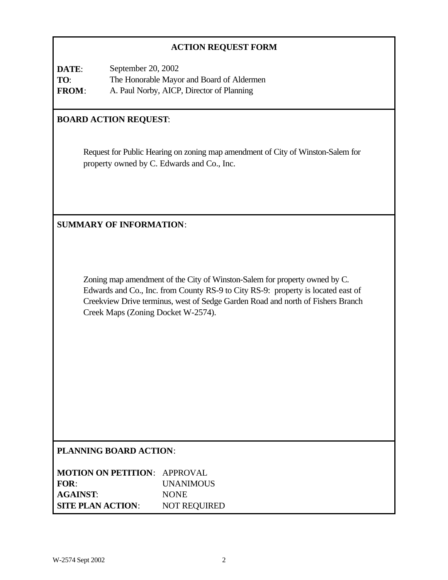# **ACTION REQUEST FORM**

**DATE**: September 20, 2002 **TO**: The Honorable Mayor and Board of Aldermen **FROM**: A. Paul Norby, AICP, Director of Planning

# **BOARD ACTION REQUEST**:

Request for Public Hearing on zoning map amendment of City of Winston-Salem for property owned by C. Edwards and Co., Inc.

**SUMMARY OF INFORMATION**:

Zoning map amendment of the City of Winston-Salem for property owned by C. Edwards and Co., Inc. from County RS-9 to City RS-9: property is located east of Creekview Drive terminus, west of Sedge Garden Road and north of Fishers Branch Creek Maps (Zoning Docket W-2574).

#### **PLANNING BOARD ACTION**:

| <b>MOTION ON PETITION: APPROVAL</b> |                     |
|-------------------------------------|---------------------|
| FOR:                                | <b>UNANIMOUS</b>    |
| <b>AGAINST:</b>                     | <b>NONE</b>         |
| <b>SITE PLAN ACTION:</b>            | <b>NOT REQUIRED</b> |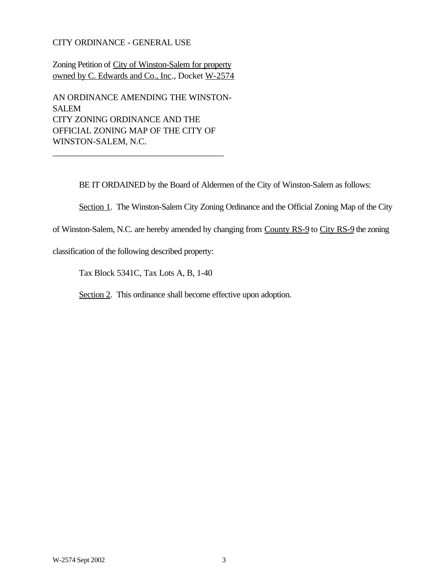## CITY ORDINANCE - GENERAL USE

Zoning Petition of City of Winston-Salem for property owned by C. Edwards and Co., Inc., Docket W-2574

AN ORDINANCE AMENDING THE WINSTON-SALEM CITY ZONING ORDINANCE AND THE OFFICIAL ZONING MAP OF THE CITY OF WINSTON-SALEM, N.C.

\_\_\_\_\_\_\_\_\_\_\_\_\_\_\_\_\_\_\_\_\_\_\_\_\_\_\_\_\_\_\_\_\_\_\_\_\_\_\_

BE IT ORDAINED by the Board of Aldermen of the City of Winston-Salem as follows:

Section 1. The Winston-Salem City Zoning Ordinance and the Official Zoning Map of the City

of Winston-Salem, N.C. are hereby amended by changing from County RS-9 to City RS-9 the zoning

classification of the following described property:

Tax Block 5341C, Tax Lots A, B, 1-40

Section 2. This ordinance shall become effective upon adoption.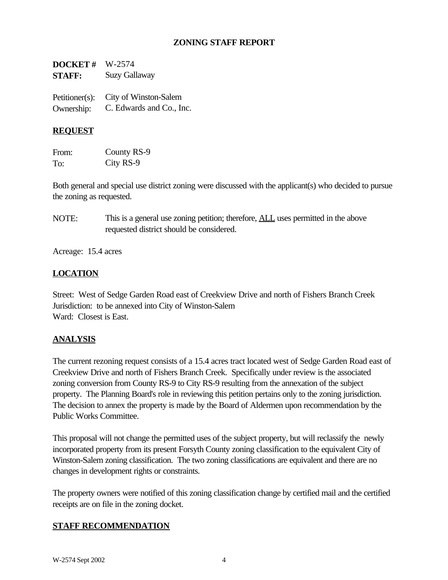## **ZONING STAFF REPORT**

| <b>DOCKET</b> # $W-2574$ |                                                     |
|--------------------------|-----------------------------------------------------|
| <b>STAFF:</b>            | Suzy Gallaway                                       |
|                          | $\mathcal{C}$ is the set of $\mathcal{C}$<br>$\sim$ |

Petitioner(s): City of Winston-Salem Ownership: C. Edwards and Co., Inc.

## **REQUEST**

| From: | County RS-9 |
|-------|-------------|
| To:   | City RS-9   |

Both general and special use district zoning were discussed with the applicant(s) who decided to pursue the zoning as requested.

NOTE: This is a general use zoning petition; therefore, **ALL** uses permitted in the above requested district should be considered.

Acreage: 15.4 acres

# **LOCATION**

Street: West of Sedge Garden Road east of Creekview Drive and north of Fishers Branch Creek Jurisdiction: to be annexed into City of Winston-Salem Ward: Closest is East.

# **ANALYSIS**

The current rezoning request consists of a 15.4 acres tract located west of Sedge Garden Road east of Creekview Drive and north of Fishers Branch Creek. Specifically under review is the associated zoning conversion from County RS-9 to City RS-9 resulting from the annexation of the subject property. The Planning Board's role in reviewing this petition pertains only to the zoning jurisdiction. The decision to annex the property is made by the Board of Aldermen upon recommendation by the Public Works Committee.

This proposal will not change the permitted uses of the subject property, but will reclassify the newly incorporated property from its present Forsyth County zoning classification to the equivalent City of Winston-Salem zoning classification. The two zoning classifications are equivalent and there are no changes in development rights or constraints.

The property owners were notified of this zoning classification change by certified mail and the certified receipts are on file in the zoning docket.

# **STAFF RECOMMENDATION**